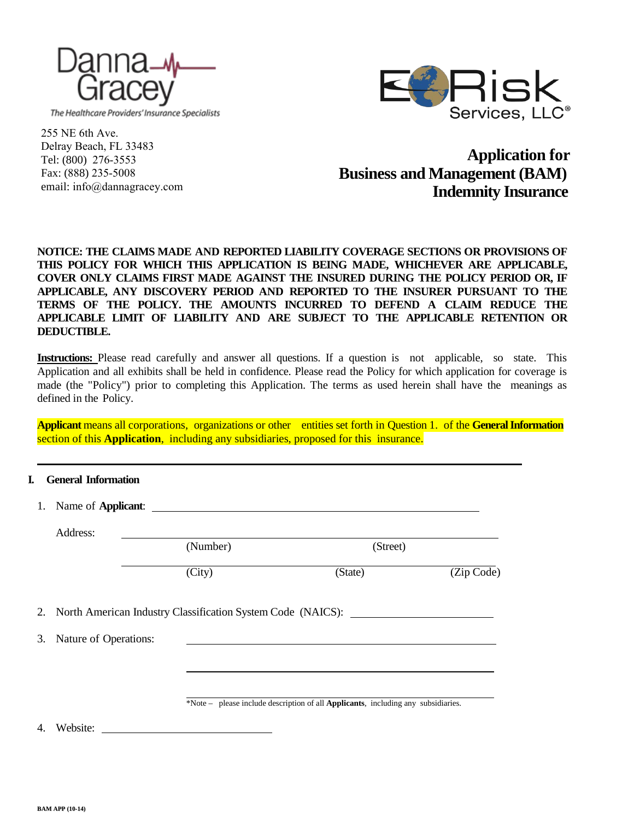

The Healthcare Providers' Insurance Specialists



255 NE 6th Ave. Delray Beach, FL 33483 Tel: (800) 276-3553 Fax: (888) 235-5008 email: info@dannagracey.com

**Application for Business and Management (BAM) Indemnity Insurance**

# **NOTICE: THE CLAIMS MADE AND REPORTED LIABILITY COVERAGE SECTIONS OR PROVISIONS OF THIS POLICY FOR WHICH THIS APPLICATION IS BEING MADE, WHICHEVER ARE APPLICABLE, COVER ONLY CLAIMS FIRST MADE AGAINST THE INSURED DURING THE POLICY PERIOD OR, IF APPLICABLE, ANY DISCOVERY PERIOD AND REPORTED TO THE INSURER PURSUANT TO THE TERMS OF THE POLICY. THE AMOUNTS INCURRED TO DEFEND A CLAIM REDUCE THE APPLICABLE LIMIT OF LIABILITY AND ARE SUBJECT TO THE APPLICABLE RETENTION OR DEDUCTIBLE.**

**Instructions:** Please read carefully and answer all questions. If a question is not applicable, so state. This Application and all exhibits shall be held in confidence. Please read the Policy for which application for coverage is made (the "Policy") prior to completing this Application. The terms as used herein shall have the meanings as defined in the Policy.

**Applicant** means all corporations, organizations or other entities set forth in Question 1. of the **General Information** section of this **Application**, including any subsidiaries, proposed for this insurance.

## **I. General Information**

|    |                       | 1. Name of <b>Applicant</b> :                                  |                                                                                   |            |
|----|-----------------------|----------------------------------------------------------------|-----------------------------------------------------------------------------------|------------|
|    | Address:              | (Number)                                                       | (Street)                                                                          |            |
|    |                       | (City)                                                         | (State)                                                                           | (Zip Code) |
|    |                       | 2. North American Industry Classification System Code (NAICS): |                                                                                   |            |
| 3. | Nature of Operations: |                                                                |                                                                                   |            |
|    |                       |                                                                |                                                                                   |            |
|    |                       |                                                                | *Note - please include description of all Applicants, including any subsidiaries. |            |
| 4. | Website:              |                                                                |                                                                                   |            |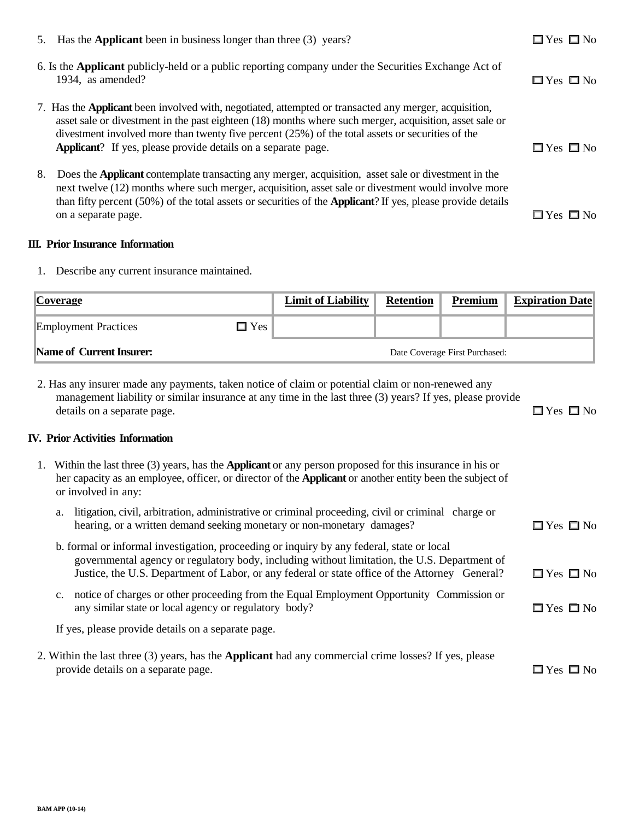|    | 5. Has the <b>Applicant</b> been in business longer than three (3) years?                                                                                                                                                                                                                                                                                                                              | $\Box$ Yes $\Box$ No |
|----|--------------------------------------------------------------------------------------------------------------------------------------------------------------------------------------------------------------------------------------------------------------------------------------------------------------------------------------------------------------------------------------------------------|----------------------|
|    | 6. Is the Applicant publicly-held or a public reporting company under the Securities Exchange Act of<br>1934, as amended?                                                                                                                                                                                                                                                                              | $\Box$ Yes $\Box$ No |
|    | 7. Has the <b>Applicant</b> been involved with, negotiated, attempted or transacted any merger, acquisition,<br>asset sale or divestment in the past eighteen (18) months where such merger, acquisition, asset sale or<br>divestment involved more than twenty five percent $(25%)$ of the total assets or securities of the<br><b>Applicant</b> ? If yes, please provide details on a separate page. | $\Box$ Yes $\Box$ No |
| 8. | Does the Applicant contemplate transacting any merger, acquisition, asset sale or divestment in the<br>next twelve (12) months where such merger, acquisition, asset sale or divestment would involve more<br>than fifty percent (50%) of the total assets or securities of the <b>Applicant</b> ? If yes, please provide details<br>on a separate page.                                               | $\Box$ Yes $\Box$ No |

## **III. Prior Insurance Information**

1. Describe any current insurance maintained.

| <b>Coverage</b>                              | <b>Limit of Liability</b> | <b>Retention</b> | Premium                        | <b>Expiration Date</b> |
|----------------------------------------------|---------------------------|------------------|--------------------------------|------------------------|
| $\square$ Yes<br><b>Employment Practices</b> |                           |                  |                                |                        |
| Name of Current Insurer:                     |                           |                  | Date Coverage First Purchased: |                        |

2. Has any insurer made any payments, taken notice of claim or potential claim or non-renewed any management liability or similar insurance at any time in the last three (3) years? If yes, please provide details on a separate page.  $\Box$  Yes  $\Box$  No

# **IV. Prior Activities Information**

| 1. Within the last three (3) years, has the <b>Applicant</b> or any person proposed for this insurance in his or<br>her capacity as an employee, officer, or director of the <b>Applicant</b> or another entity been the subject of<br>or involved in any: |                                                                                                                                                                                                                                                                                             |                      |
|------------------------------------------------------------------------------------------------------------------------------------------------------------------------------------------------------------------------------------------------------------|---------------------------------------------------------------------------------------------------------------------------------------------------------------------------------------------------------------------------------------------------------------------------------------------|----------------------|
| a.                                                                                                                                                                                                                                                         | litigation, civil, arbitration, administrative or criminal proceeding, civil or criminal charge or<br>hearing, or a written demand seeking monetary or non-monetary damages?                                                                                                                | $\Box$ Yes $\Box$ No |
|                                                                                                                                                                                                                                                            | b. formal or informal investigation, proceeding or inquiry by any federal, state or local<br>governmental agency or regulatory body, including without limitation, the U.S. Department of<br>Justice, the U.S. Department of Labor, or any federal or state office of the Attorney General? | $\Box$ Yes $\Box$ No |
| $\mathbf{c}$ .                                                                                                                                                                                                                                             | notice of charges or other proceeding from the Equal Employment Opportunity Commission or<br>any similar state or local agency or regulatory body?                                                                                                                                          | $\Box$ Yes $\Box$ No |
|                                                                                                                                                                                                                                                            | If yes, please provide details on a separate page.                                                                                                                                                                                                                                          |                      |
|                                                                                                                                                                                                                                                            | 2. Within the last three (3) years, has the <b>Applicant</b> had any commercial crime losses? If yes, please<br>provide details on a separate page.                                                                                                                                         | $\Box$ Yes $\Box$ No |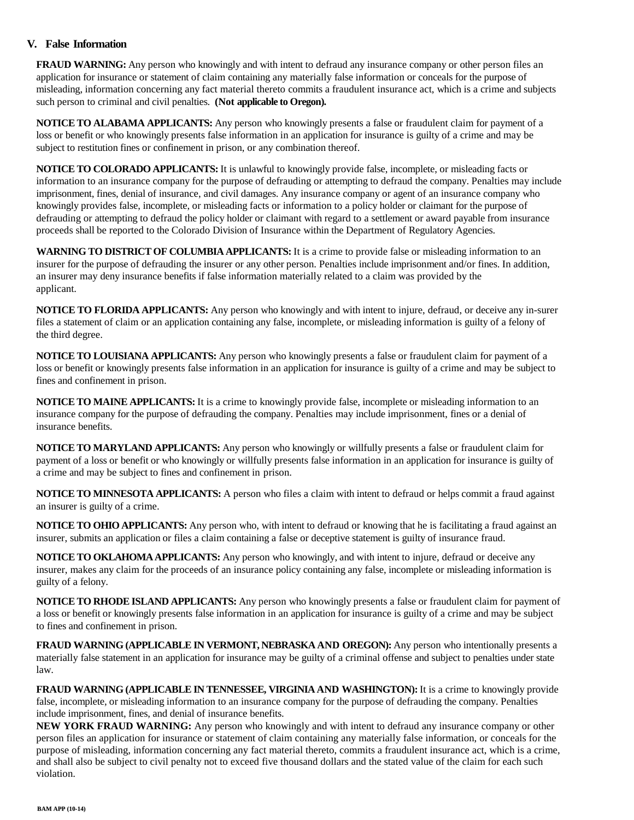## **V. False Information**

**FRAUD WARNING:** Any person who knowingly and with intent to defraud any insurance company or other person files an application for insurance or statement of claim containing any materially false information or conceals for the purpose of misleading, information concerning any fact material thereto commits a fraudulent insurance act, which is a crime and subjects such person to criminal and civil penalties. **(Not applicable to Oregon).**

**NOTICE TO ALABAMA APPLICANTS:** Any person who knowingly presents a false or fraudulent claim for payment of a loss or benefit or who knowingly presents false information in an application for insurance is guilty of a crime and may be subject to restitution fines or confinement in prison, or any combination thereof.

**NOTICE TO COLORADO APPLICANTS:** It is unlawful to knowingly provide false, incomplete, or misleading facts or information to an insurance company for the purpose of defrauding or attempting to defraud the company. Penalties may include imprisonment, fines, denial of insurance, and civil damages. Any insurance company or agent of an insurance company who knowingly provides false, incomplete, or misleading facts or information to a policy holder or claimant for the purpose of defrauding or attempting to defraud the policy holder or claimant with regard to a settlement or award payable from insurance proceeds shall be reported to the Colorado Division of Insurance within the Department of Regulatory Agencies.

**WARNING TO DISTRICT OF COLUMBIA APPLICANTS:** It is a crime to provide false or misleading information to an insurer for the purpose of defrauding the insurer or any other person. Penalties include imprisonment and/or fines. In addition, an insurer may deny insurance benefits if false information materially related to a claim was provided by the applicant.

**NOTICE TO FLORIDA APPLICANTS:** Any person who knowingly and with intent to injure, defraud, or deceive any in-surer files a statement of claim or an application containing any false, incomplete, or misleading information is guilty of a felony of the third degree.

**NOTICE TO LOUISIANA APPLICANTS:** Any person who knowingly presents a false or fraudulent claim for payment of a loss or benefit or knowingly presents false information in an application for insurance is guilty of a crime and may be subject to fines and confinement in prison.

**NOTICE TO MAINE APPLICANTS:** It is a crime to knowingly provide false, incomplete or misleading information to an insurance company for the purpose of defrauding the company. Penalties may include imprisonment, fines or a denial of insurance benefits.

**NOTICE TO MARYLAND APPLICANTS:** Any person who knowingly or willfully presents a false or fraudulent claim for payment of a loss or benefit or who knowingly or willfully presents false information in an application for insurance is guilty of a crime and may be subject to fines and confinement in prison.

**NOTICE TO MINNESOTA APPLICANTS:** A person who files a claim with intent to defraud or helps commit a fraud against an insurer is guilty of a crime.

**NOTICE TO OHIO APPLICANTS:** Any person who, with intent to defraud or knowing that he is facilitating a fraud against an insurer, submits an application or files a claim containing a false or deceptive statement is guilty of insurance fraud.

**NOTICE TO OKLAHOMA APPLICANTS:** Any person who knowingly, and with intent to injure, defraud or deceive any insurer, makes any claim for the proceeds of an insurance policy containing any false, incomplete or misleading information is guilty of a felony.

**NOTICE TO RHODE ISLAND APPLICANTS:** Any person who knowingly presents a false or fraudulent claim for payment of a loss or benefit or knowingly presents false information in an application for insurance is guilty of a crime and may be subject to fines and confinement in prison.

**FRAUD WARNING (APPLICABLE IN VERMONT, NEBRASKA AND OREGON):** Any person who intentionally presents a materially false statement in an application for insurance may be guilty of a criminal offense and subject to penalties under state law.

**FRAUD WARNING (APPLICABLE IN TENNESSEE, VIRGINIA AND WASHINGTON):** It is a crime to knowingly provide false, incomplete, or misleading information to an insurance company for the purpose of defrauding the company. Penalties include imprisonment, fines, and denial of insurance benefits.

**NEW YORK FRAUD WARNING:** Any person who knowingly and with intent to defraud any insurance company or other person files an application for insurance or statement of claim containing any materially false information, or conceals for the purpose of misleading, information concerning any fact material thereto, commits a fraudulent insurance act, which is a crime, and shall also be subject to civil penalty not to exceed five thousand dollars and the stated value of the claim for each such violation.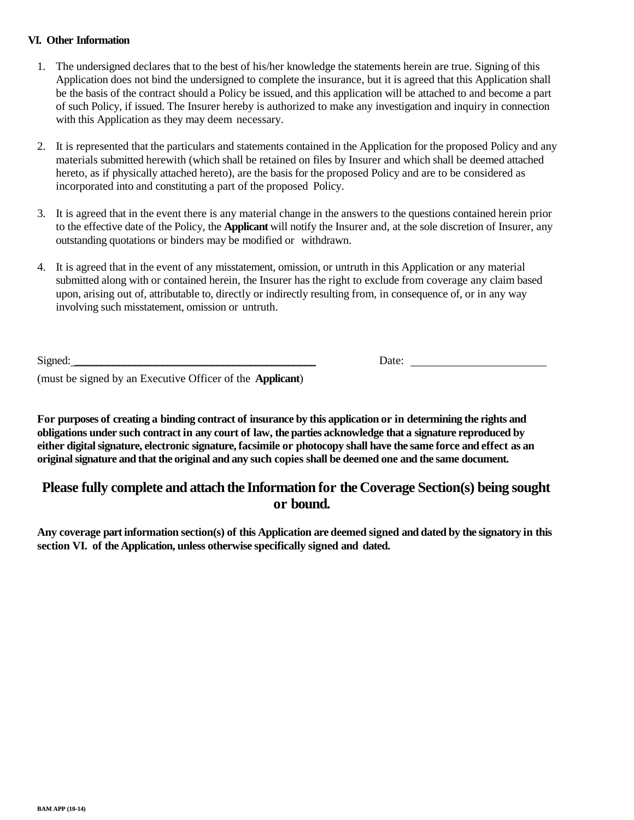## **VI. Other Information**

- 1. The undersigned declares that to the best of his/her knowledge the statements herein are true. Signing of this Application does not bind the undersigned to complete the insurance, but it is agreed that this Application shall be the basis of the contract should a Policy be issued, and this application will be attached to and become a part of such Policy, if issued. The Insurer hereby is authorized to make any investigation and inquiry in connection with this Application as they may deem necessary.
- 2. It is represented that the particulars and statements contained in the Application for the proposed Policy and any materials submitted herewith (which shall be retained on files by Insurer and which shall be deemed attached hereto, as if physically attached hereto), are the basis for the proposed Policy and are to be considered as incorporated into and constituting a part of the proposed Policy.
- 3. It is agreed that in the event there is any material change in the answers to the questions contained herein prior to the effective date of the Policy, the **Applicant** will notify the Insurer and, at the sole discretion of Insurer, any outstanding quotations or binders may be modified or withdrawn.
- 4. It is agreed that in the event of any misstatement, omission, or untruth in this Application or any material submitted along with or contained herein, the Insurer has the right to exclude from coverage any claim based upon, arising out of, attributable to, directly or indirectly resulting from, in consequence of, or in any way involving such misstatement, omission or untruth.

Signed:

Date:

(must be signed by an Executive Officer of the **Applicant**)

**For purposes of creating a binding contract of insurance by this application or in determining the rights and obligations under such contract in any court of law, the parties acknowledge that a signature reproduced by either digital signature, electronic signature, facsimile or photocopy shall have the same force and effect as an original signature and that the original and any such copies shall be deemed one and the same document.**

# **Please fully complete and attach the Information for the Coverage Section(s) being sought or bound.**

**Any coverage part information section(s) of this Application are deemed signed and dated by the signatory in this section VI. of the Application, unless otherwise specifically signed and dated.**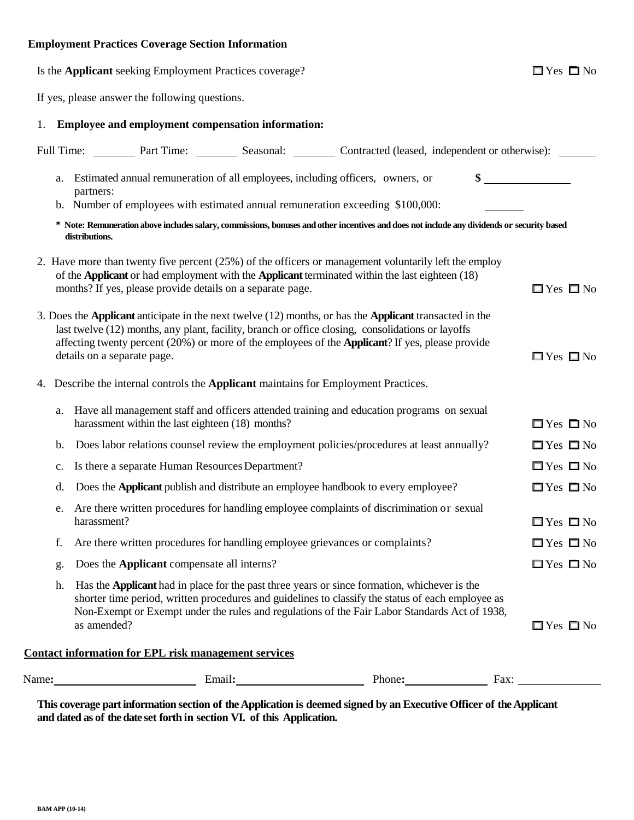# **Employment Practices Coverage Section Information**

|    |                 | Is the Applicant seeking Employment Practices coverage?                                    |                                                                                                                                                                                                                                                                                                                  | $\Box$ Yes $\Box$ No |
|----|-----------------|--------------------------------------------------------------------------------------------|------------------------------------------------------------------------------------------------------------------------------------------------------------------------------------------------------------------------------------------------------------------------------------------------------------------|----------------------|
|    |                 | If yes, please answer the following questions.                                             |                                                                                                                                                                                                                                                                                                                  |                      |
| 1. |                 | Employee and employment compensation information:                                          |                                                                                                                                                                                                                                                                                                                  |                      |
|    |                 |                                                                                            | Full Time: Part Time: Seasonal: Contracted (leased, independent or otherwise): __                                                                                                                                                                                                                                |                      |
|    | a.<br>partners: |                                                                                            | Estimated annual remuneration of all employees, including officers, owners, or<br>b. Number of employees with estimated annual remuneration exceeding \$100,000:                                                                                                                                                 |                      |
|    | distributions.  |                                                                                            | * Note: Remuneration above includes salary, commissions, bonuses and other incentives and does not include any dividends or security based                                                                                                                                                                       |                      |
|    |                 | months? If yes, please provide details on a separate page.                                 | 2. Have more than twenty five percent (25%) of the officers or management voluntarily left the employ<br>of the Applicant or had employment with the Applicant terminated within the last eighteen (18)                                                                                                          | $\Box$ Yes $\Box$ No |
|    |                 | details on a separate page.                                                                | 3. Does the Applicant anticipate in the next twelve (12) months, or has the Applicant transacted in the<br>last twelve (12) months, any plant, facility, branch or office closing, consolidations or layoffs<br>affecting twenty percent (20%) or more of the employees of the Applicant? If yes, please provide | $\Box$ Yes $\Box$ No |
|    |                 | 4. Describe the internal controls the <b>Applicant</b> maintains for Employment Practices. |                                                                                                                                                                                                                                                                                                                  |                      |
| a. |                 | harassment within the last eighteen (18) months?                                           | Have all management staff and officers attended training and education programs on sexual                                                                                                                                                                                                                        | $\Box$ Yes $\Box$ No |
|    | b.              |                                                                                            | Does labor relations counsel review the employment policies/procedures at least annually?                                                                                                                                                                                                                        | $\Box$ Yes $\Box$ No |
| c. |                 | Is there a separate Human Resources Department?                                            |                                                                                                                                                                                                                                                                                                                  | $\Box$ Yes $\Box$ No |
|    | d.              |                                                                                            | Does the Applicant publish and distribute an employee handbook to every employee?                                                                                                                                                                                                                                | $\Box$ Yes $\Box$ No |
| e. | harassment?     |                                                                                            | Are there written procedures for handling employee complaints of discrimination or sexual                                                                                                                                                                                                                        | $\Box$ Yes $\Box$ No |
| f. |                 |                                                                                            | Are there written procedures for handling employee grievances or complaints?                                                                                                                                                                                                                                     | $\Box$ Yes $\Box$ No |
| g. |                 | Does the Applicant compensate all interns?                                                 |                                                                                                                                                                                                                                                                                                                  | $\Box$ Yes $\Box$ No |
|    | h.              | as amended?                                                                                | Has the <b>Applicant</b> had in place for the past three years or since formation, whichever is the<br>shorter time period, written procedures and guidelines to classify the status of each employee as<br>Non-Exempt or Exempt under the rules and regulations of the Fair Labor Standards Act of 1938,        | $\Box$ Yes $\Box$ No |
|    |                 | <b>Contact information for EPL risk management services</b>                                |                                                                                                                                                                                                                                                                                                                  |                      |
|    |                 |                                                                                            |                                                                                                                                                                                                                                                                                                                  |                      |
|    |                 |                                                                                            |                                                                                                                                                                                                                                                                                                                  |                      |

**This coverage part information section of the Application is deemed signed by an Executive Officer of the Applicant and dated as of the date set forth in section VI. of this Application.**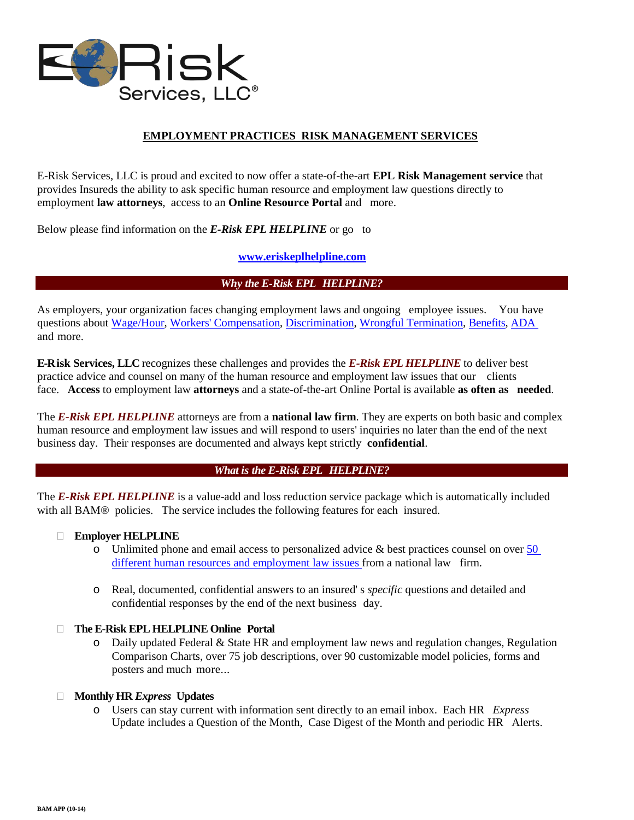

# **EMPLOYMENT PRACTICES RISK MANAGEMENT SERVICES**

E-Risk Services, LLC is proud and excited to now offer a state-of-the-art **EPL Risk Management service** that provides Insureds the ability to ask specific human resource and employment law questions directly to employment **law attorneys**, access to an **Online Resource Portal** and more.

Below please find information on the *E-Risk EPL HELPLINE* or go to

## **www.eriskeplhelpline.com**

#### *Why the E-Risk EPL HELPLINE?*

As employers, your organization faces changing employment laws and ongoing employee issues. You have questions about Wage/Hour, Workers' Compensation, Discrimination, Wrongful Termination, Benefits, ADA and more.

**E-Risk Services, LLC** recognizes these challenges and provides the *E-Risk EPL HELPLINE* to deliver best practice advice and counsel on many of the human resource and employment law issues that our clients face. **Access** to employment law **attorneys** and a state-of-the-art Online Portal is available **as often as needed**.

The *E-Risk EPL HELPLINE* attorneys are from a **national law firm**. They are experts on both basic and complex human resource and employment law issues and will respond to users' inquiries no later than the end of the next business day. Their responses are documented and always kept strictly **confidential**.

#### *What is the E-Risk EPL HELPLINE?*

The *E-Risk EPL HELPLINE* is a value-add and loss reduction service package which is automatically included with all BAM® policies. The service includes the following features for each insured.

#### **Employer HELPLINE**

- $\circ$  Unlimited phone and email access to personalized advice & best practices counsel on over 50 different human resources and employment law issues from a national law firm.
- o Real, documented, confidential answers to an insured' s *specific* questions and detailed and confidential responses by the end of the next business day.

#### **The E-Risk EPL HELPLINE Online Portal**

o Daily updated Federal & State HR and employment law news and regulation changes, Regulation Comparison Charts, over 75 job descriptions, over 90 customizable model policies, forms and posters and much more...

#### **Monthly HR** *Express* **Updates**

o Users can stay current with information sent directly to an email inbox. Each HR *Express* Update includes a Question of the Month, Case Digest of the Month and periodic HR Alerts.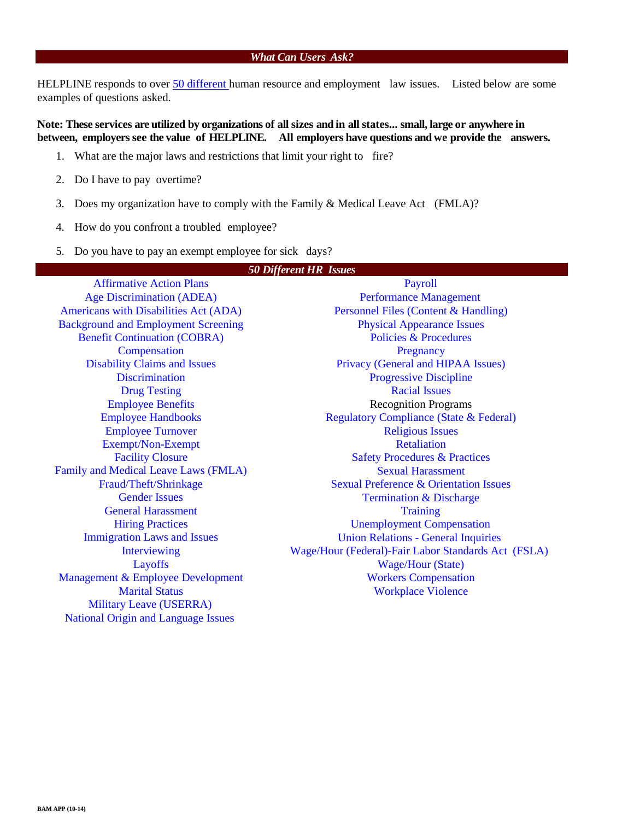## *What Can Users Ask?*

HELPLINE responds to over 50 different human resource and employment law issues. Listed below are some examples of questions asked.

**Note: These services are utilized by organizations of all sizes and in all states... small, large or anywhere in between, employers see the value of HELPLINE. All employers have questions and we provide the answers.**

- 1. What are the major laws and restrictions that limit your right to fire?
- 2. Do I have to pay overtime?
- 3. Does my organization have to comply with the Family & Medical Leave Act (FMLA)?
- 4. How do you confront a troubled employee?
- 5. Do you have to pay an exempt employee for sick days?

| <b>50 Different HR Issues</b>              |                                                     |  |  |
|--------------------------------------------|-----------------------------------------------------|--|--|
| <b>Affirmative Action Plans</b>            | Payroll                                             |  |  |
| <b>Age Discrimination (ADEA)</b>           | <b>Performance Management</b>                       |  |  |
| Americans with Disabilities Act (ADA)      | Personnel Files (Content & Handling)                |  |  |
| <b>Background and Employment Screening</b> | <b>Physical Appearance Issues</b>                   |  |  |
| <b>Benefit Continuation (COBRA)</b>        | <b>Policies &amp; Procedures</b>                    |  |  |
| Compensation                               | Pregnancy                                           |  |  |
| <b>Disability Claims and Issues</b>        | Privacy (General and HIPAA Issues)                  |  |  |
| <b>Discrimination</b>                      | <b>Progressive Discipline</b>                       |  |  |
| <b>Drug Testing</b>                        | <b>Racial Issues</b>                                |  |  |
| <b>Employee Benefits</b>                   | <b>Recognition Programs</b>                         |  |  |
| <b>Employee Handbooks</b>                  | <b>Regulatory Compliance (State &amp; Federal)</b>  |  |  |
| <b>Employee Turnover</b>                   | <b>Religious Issues</b>                             |  |  |
| Exempt/Non-Exempt                          | <b>Retaliation</b>                                  |  |  |
| <b>Facility Closure</b>                    | <b>Safety Procedures &amp; Practices</b>            |  |  |
| Family and Medical Leave Laws (FMLA)       | <b>Sexual Harassment</b>                            |  |  |
| Fraud/Theft/Shrinkage                      | <b>Sexual Preference &amp; Orientation Issues</b>   |  |  |
| <b>Gender Issues</b>                       | <b>Termination &amp; Discharge</b>                  |  |  |
| <b>General Harassment</b>                  | <b>Training</b>                                     |  |  |
| <b>Hiring Practices</b>                    | <b>Unemployment Compensation</b>                    |  |  |
| <b>Immigration Laws and Issues</b>         | <b>Union Relations - General Inquiries</b>          |  |  |
| Interviewing                               | Wage/Hour (Federal)-Fair Labor Standards Act (FSLA) |  |  |
| Layoffs                                    | <b>Wage/Hour (State)</b>                            |  |  |
| Management & Employee Development          | <b>Workers Compensation</b>                         |  |  |
| <b>Marital Status</b>                      | <b>Workplace Violence</b>                           |  |  |
| <b>Military Leave (USERRA)</b>             |                                                     |  |  |
| <b>National Origin and Language Issues</b> |                                                     |  |  |